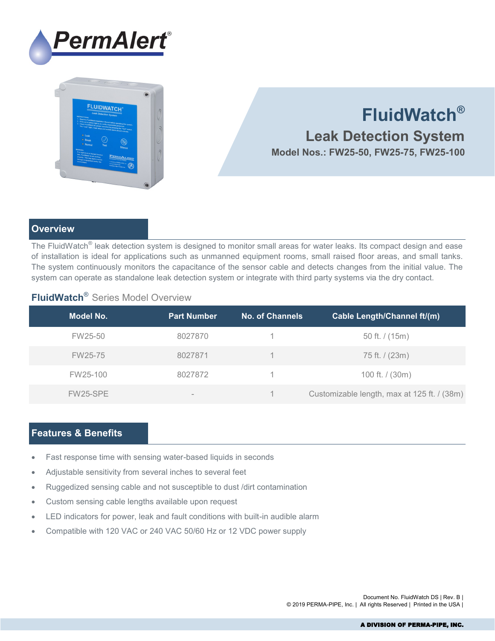



# **FluidWatch®**

 **Leak Detection System Model Nos.: FW25-50, FW25-75, FW25-100**

## **Overview**

The FluidWatch $^\circ$  leak detection system is designed to monitor small areas for water leaks. Its compact design and ease of installation is ideal for applications such as unmanned equipment rooms, small raised floor areas, and small tanks. The system continuously monitors the capacitance of the sensor cable and detects changes from the initial value. The system can operate as standalone leak detection system or integrate with third party systems via the dry contact.

# **FluidWatch**® Series Model Overview

| Model No. | <b>Part Number</b> | <b>No. of Channels</b> | <b>Cable Length/Channel ft/(m)</b>          |
|-----------|--------------------|------------------------|---------------------------------------------|
| FW25-50   | 8027870            |                        | 50 ft. $/$ (15m)                            |
| FW25-75   | 8027871            |                        | 75 ft. / (23m)                              |
| FW25-100  | 8027872            |                        | 100 ft. / (30m)                             |
| FW25-SPE  |                    |                        | Customizable length, max at 125 ft. / (38m) |

## **Features & Benefits**

- Fast response time with sensing water-based liquids in seconds
- Adjustable sensitivity from several inches to several feet
- Ruggedized sensing cable and not susceptible to dust /dirt contamination
- Custom sensing cable lengths available upon request
- LED indicators for power, leak and fault conditions with built-in audible alarm
- Compatible with 120 VAC or 240 VAC 50/60 Hz or 12 VDC power supply

Document No. FluidWatch DS | Rev. B | © 2019 PERMA-PIPE, Inc. | All rights Reserved | Printed in the USA |